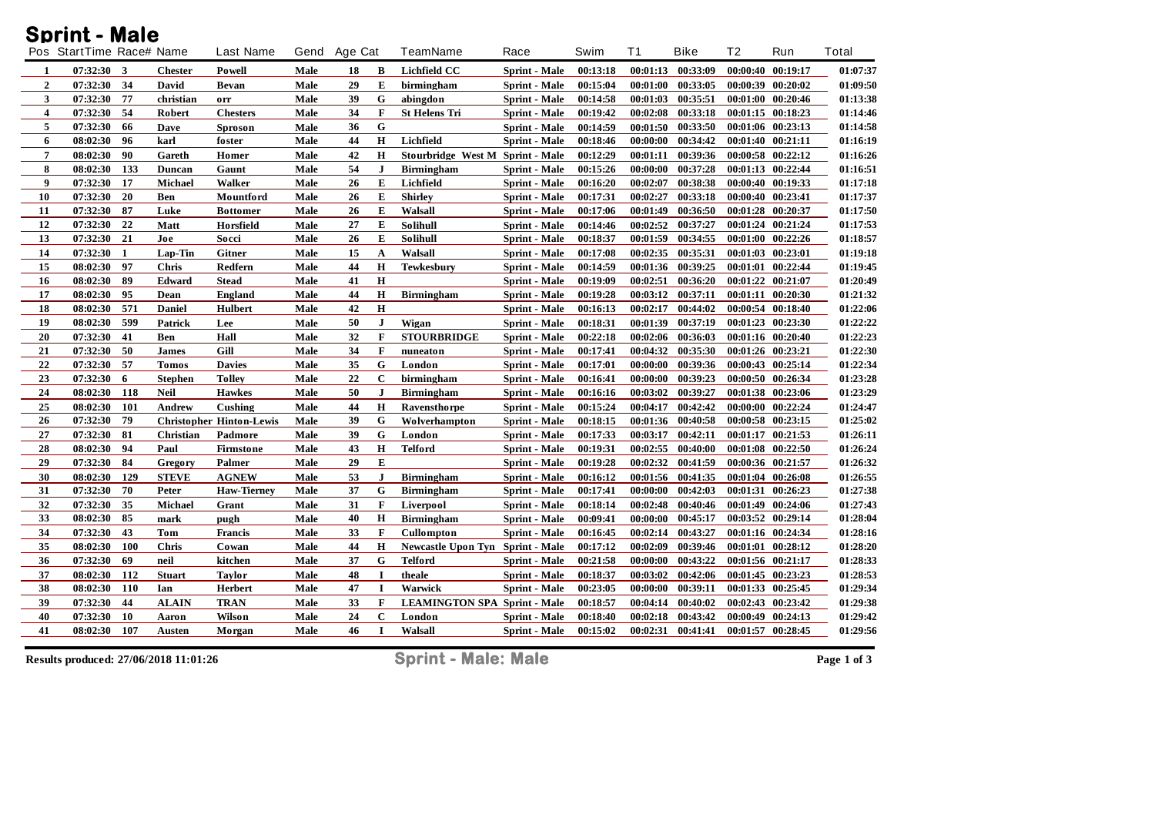## **Sprint - Male**

|                  | Pos StartTime Race# Name |              |                | <b>Last Name</b>                | Gend | Age Cat |              | TeamName                            | Race                 | Swim     | T1       | <b>Bike</b> | T <sub>2</sub>    | Run               | Total    |
|------------------|--------------------------|--------------|----------------|---------------------------------|------|---------|--------------|-------------------------------------|----------------------|----------|----------|-------------|-------------------|-------------------|----------|
| -1               | 07:32:30                 | $\mathbf{3}$ | <b>Chester</b> | Powell                          | Male | 18      | B            | <b>Lichfield CC</b>                 | Sprint - Male        | 00:13:18 | 00:01:13 | 00:33:09    | 00:00:40 00:19:17 |                   | 01:07:37 |
| $\boldsymbol{2}$ | 07:32:30                 | 34           | David          | Bevan                           | Male | 29      | E            | birmingham                          | <b>Sprint</b> - Male | 00:15:04 | 00:01:00 | 00:33:05    |                   | 00:00:39 00:20:02 | 01:09:50 |
| 3                | 07:32:30                 | 77           | christian      | orr                             | Male | 39      | G            | abingdon                            | <b>Sprint - Male</b> | 00:14:58 | 00:01:03 | 00:35:51    |                   | 00:01:00 00:20:46 | 01:13:38 |
| 4                | 07:32:30                 | 54           | Robert         | <b>Chesters</b>                 | Male | 34      | F            | <b>St Helens Tri</b>                | Sprint - Male        | 00:19:42 | 00:02:08 | 00:33:18    | 00:01:15 00:18:23 |                   | 01:14:46 |
| 5                | 07:32:30                 | 66           | Dave           | <b>Sproson</b>                  | Male | 36      | $\mathbf G$  |                                     | Sprint - Male        | 00:14:59 | 00:01:50 | 00:33:50    |                   | 00:01:06 00:23:13 | 01:14:58 |
| 6                | 08:02:30                 | 96           | karl           | foster                          | Male | 44      | H            | Lichfield                           | <b>Sprint</b> - Male | 00:18:46 | 00:00:00 | 00:34:42    |                   | 00:01:40 00:21:11 | 01:16:19 |
| $\overline{7}$   | 08:02:30                 | 90           | Gareth         | Homer                           | Male | 42      | H            | Stourbridge West M Sprint - Male    |                      | 00:12:29 | 00:01:11 | 00:39:36    |                   | 00:00:58 00:22:12 | 01:16:26 |
| 8                | 08:02:30                 | 133          | Duncan         | Gaunt                           | Male | 54      | J            | <b>Birmingham</b>                   | <b>Sprint</b> - Male | 00:15:26 | 00:00:00 | 00:37:28    | 00:01:13 00:22:44 |                   | 01:16:51 |
| $\boldsymbol{9}$ | 07:32:30                 | 17           | <b>Michael</b> | Walker                          | Male | 26      | E            | Lichfield                           | Sprint - Male        | 00:16:20 | 00:02:07 | 00:38:38    |                   | 00:00:40 00:19:33 | 01:17:18 |
| 10               | 07:32:30                 | 20           | Ben            | Mountford                       | Male | 26      | E            | <b>Shirley</b>                      | <b>Sprint</b> - Male | 00:17:31 | 00:02:27 | 00:33:18    |                   | 00:00:40 00:23:41 | 01:17:37 |
| 11               | 07:32:30                 | 87           | Luke           | <b>Bottomer</b>                 | Male | 26      | E            | Walsall                             | Sprint - Male        | 00:17:06 | 00:01:49 | 00:36:50    | 00:01:28 00:20:37 |                   | 01:17:50 |
| 12               | 07:32:30                 | 22           | Matt           | Horsfield                       | Male | 27      | E            | <b>Solihull</b>                     | Sprint - Male        | 00:14:46 | 00:02:52 | 00:37:27    | 00:01:24 00:21:24 |                   | 01:17:53 |
| 13               | 07:32:30                 | 21           | Joe            | Socci                           | Male | 26      | E            | Solihull                            | <b>Sprint - Male</b> | 00:18:37 | 00:01:59 | 00:34:55    |                   | 00:01:00 00:22:26 | 01:18:57 |
| 14               | 07:32:30                 | -1           | Lap-Tin        | Gitner                          | Male | 15      | A            | Walsall                             | <b>Sprint</b> - Male | 00:17:08 | 00:02:35 | 00:35:31    |                   | 00:01:03 00:23:01 | 01:19:18 |
| 15               | 08:02:30                 | 97           | Chris          | Redfern                         | Male | 44      | Н            | <b>Tewkesbury</b>                   | <b>Sprint - Male</b> | 00:14:59 | 00:01:36 | 00:39:25    | 00:01:01 00:22:44 |                   | 01:19:45 |
| 16               | 08:02:30                 | 89           | Edward         | <b>Stead</b>                    | Male | 41      | H            |                                     | Sprint - Male        | 00:19:09 | 00:02:51 | 00:36:20    | 00:01:22 00:21:07 |                   | 01:20:49 |
| 17               | 08:02:30                 | 95           | Dean           | <b>England</b>                  | Male | 44      | Н            | <b>Birmingham</b>                   | <b>Sprint</b> - Male | 00:19:28 | 00:03:12 | 00:37:11    |                   | 00:01:11 00:20:30 | 01:21:32 |
| 18               | 08:02:30                 | 571          | <b>Daniel</b>  | Hulbert                         | Male | 42      | $\bf H$      |                                     | <b>Sprint</b> - Male | 00:16:13 | 00:02:17 | 00:44:02    |                   | 00:00:54 00:18:40 | 01:22:06 |
| 19               | 08:02:30                 | 599          | Patrick        | Lee                             | Male | 50      | J            | Wigan                               | Sprint - Male        | 00:18:31 | 00:01:39 | 00:37:19    | 00:01:23 00:23:30 |                   | 01:22:22 |
| 20               | 07:32:30                 | 41           | Ben            | Hall                            | Male | 32      | F            | <b>STOURBRIDGE</b>                  | <b>Sprint - Male</b> | 00:22:18 | 00:02:06 | 00:36:03    | 00:01:16 00:20:40 |                   | 01:22:23 |
| 21               | 07:32:30                 | 50           | <b>James</b>   | Gill                            | Male | 34      | F            | nuneaton                            | <b>Sprint</b> - Male | 00:17:41 | 00:04:32 | 00:35:30    |                   | 00:01:26 00:23:21 | 01:22:30 |
| 22               | 07:32:30                 | 57           | <b>Tomos</b>   | <b>Davies</b>                   | Male | 35      | G            | London                              | Sprint - Male        | 00:17:01 | 00:00:00 | 00:39:36    |                   | 00:00:43 00:25:14 | 01:22:34 |
| 23               | 07:32:30                 | 6            | <b>Stephen</b> | <b>Tolley</b>                   | Male | 22      | $\mathbf{C}$ | birmingham                          | Sprint - Male        | 00:16:41 | 00:00:00 | 00:39:23    | 00:00:50 00:26:34 |                   | 01:23:28 |
| 24               | 08:02:30                 | 118          | <b>Neil</b>    | <b>Hawkes</b>                   | Male | 50      | J            | <b>Birmingham</b>                   | <b>Sprint</b> - Male | 00:16:16 | 00:03:02 | 00:39:27    |                   | 00:01:38 00:23:06 | 01:23:29 |
| 25               | 08:02:30                 | 101          | Andrew         | Cushing                         | Male | 44      | Н            | Ravensthorpe                        | <b>Sprint</b> - Male | 00:15:24 | 00:04:17 | 00:42:42    |                   | 00:00:00 00:22:24 | 01:24:47 |
| 26               | 07:32:30                 | 79           |                | <b>Christopher Hinton-Lewis</b> | Male | 39      | G            | Wolverhampton                       | <b>Sprint - Male</b> | 00:18:15 | 00:01:36 | 00:40:58    | 00:00:58 00:23:15 |                   | 01:25:02 |
| 27               | 07:32:30                 | 81           | Christian      | Padmore                         | Male | 39      | G            | London                              | Sprint - Male        | 00:17:33 | 00:03:17 | 00:42:11    |                   | 00:01:17 00:21:53 | 01:26:11 |
| 28               | 08:02:30                 | 94           | Paul           | Firmstone                       | Male | 43      | H            | <b>Telford</b>                      | <b>Sprint</b> - Male | 00:19:31 | 00:02:55 | 00:40:00    | 00:01:08          | 00:22:50          | 01:26:24 |
| 29               | 07:32:30                 | 84           | Gregory        | Palmer                          | Male | 29      | E            |                                     | Sprint - Male        | 00:19:28 | 00:02:32 | 00:41:59    | 00:00:36 00:21:57 |                   | 01:26:32 |
| 30               | 08:02:30                 | 129          | <b>STEVE</b>   | <b>AGNEW</b>                    | Male | 53      | J            | <b>Birmingham</b>                   | <b>Sprint - Male</b> | 00:16:12 | 00:01:56 | 00:41:35    | 00:01:04 00:26:08 |                   | 01:26:55 |
| 31               | 07:32:30                 | 70           | Peter          | <b>Haw-Tierney</b>              | Male | 37      | G            | <b>Birmingham</b>                   | <b>Sprint - Male</b> | 00:17:41 | 00:00:00 | 00:42:03    | 00:01:31 00:26:23 |                   | 01:27:38 |
| 32               | 07:32:30                 | 35           | Michael        | Grant                           | Male | 31      | F            | Liverpool                           | <b>Sprint</b> - Male | 00:18:14 | 00:02:48 | 00:40:46    |                   | 00:01:49 00:24:06 | 01:27:43 |
| 33               | 08:02:30                 | 85           | mark           | pugh                            | Male | 40      | H            | <b>Birmingham</b>                   | Sprint - Male        | 00:09:41 | 00:00:00 | 00:45:17    |                   | 00:03:52 00:29:14 | 01:28:04 |
| 34               | 07:32:30                 | 43           | Tom            | <b>Francis</b>                  | Male | 33      | F            | Cullompton                          | Sprint - Male        | 00:16:45 | 00:02:14 | 00:43:27    |                   | 00:01:16 00:24:34 | 01:28:16 |
| 35               | 08:02:30                 | <b>100</b>   | <b>Chris</b>   | Cowan                           | Male | 44      | H            | Newcastle Upon Tyn Sprint - Male    |                      | 00:17:12 | 00:02:09 | 00:39:46    |                   | 00:01:01 00:28:12 | 01:28:20 |
| 36               | 07:32:30                 | 69           | neil           | kitchen                         | Male | 37      | G            | <b>Telford</b>                      | <b>Sprint</b> - Male | 00:21:58 | 00:00:00 | 00:43:22    | 00:01:56 00:21:17 |                   | 01:28:33 |
| 37               | 08:02:30                 | 112          | <b>Stuart</b>  | Taylor                          | Male | 48      |              | theale                              | Sprint - Male        | 00:18:37 | 00:03:02 | 00:42:06    |                   | 00:01:45 00:23:23 | 01:28:53 |
| 38               | 08:02:30                 | <b>110</b>   | Ian            | Herbert                         | Male | 47      | I            | Warwick                             | <b>Sprint - Male</b> | 00:23:05 | 00:00:00 | 00:39:11    |                   | 00:01:33 00:25:45 | 01:29:34 |
| 39               | 07:32:30                 | 44           | <b>ALAIN</b>   | <b>TRAN</b>                     | Male | 33      | F            | <b>LEAMINGTON SPA Sprint - Male</b> |                      | 00:18:57 | 00:04:14 | 00:40:02    |                   | 00:02:43 00:23:42 | 01:29:38 |
| 40               | 07:32:30                 | 10           | Aaron          | Wilson                          | Male | 24      | $\mathbf c$  | London                              | Sprint - Male        | 00:18:40 | 00:02:18 | 00:43:42    |                   | 00:00:49 00:24:13 | 01:29:42 |
| 41               | 08:02:30                 | 107          | <b>Austen</b>  | Morgan                          | Male | 46      |              | Walsall                             | Sprint - Male        | 00:15:02 | 00:02:31 | 00:41:41    |                   | 00:01:57 00:28:45 | 01:29:56 |
|                  |                          |              |                |                                 |      |         |              |                                     |                      |          |          |             |                   |                   |          |

**Results produced: 27/06/2018 11:01:26 Sprint - Male: Male Page 1 of 3**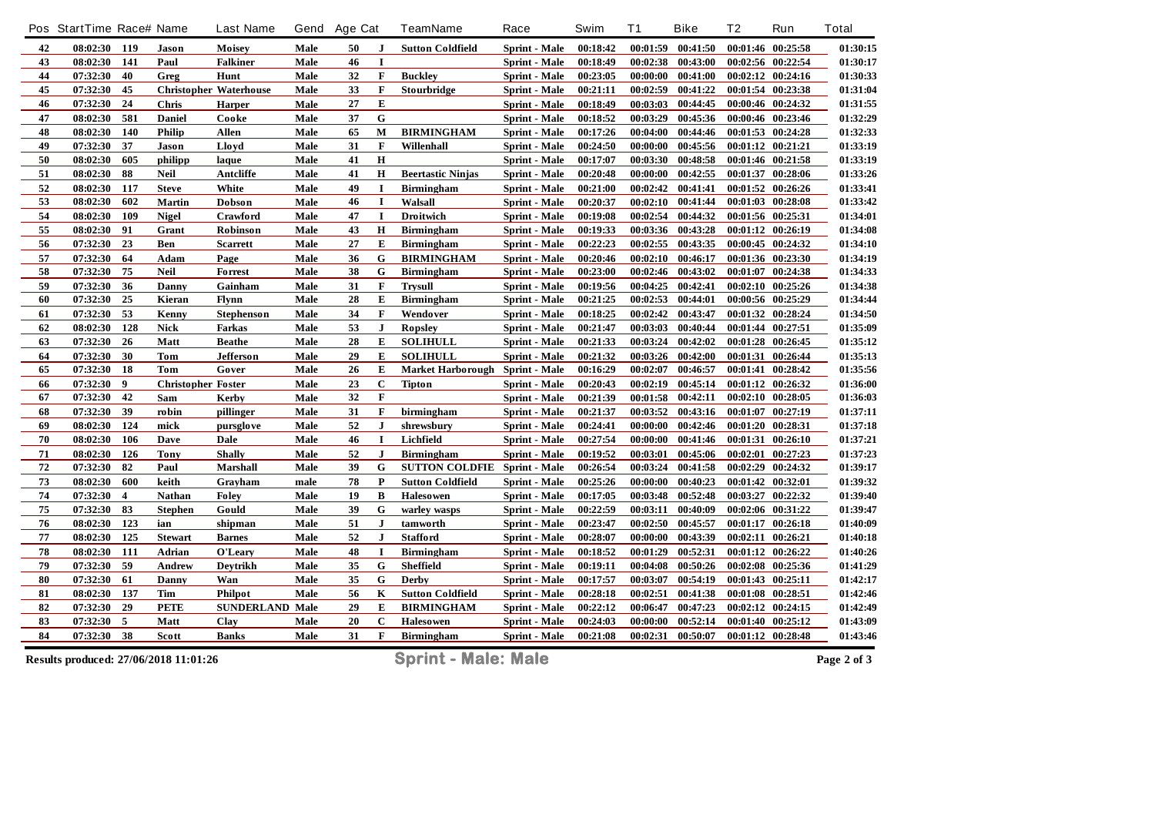|    | Pos StartTime Race# Name              |                  |                           | <b>Last Name</b>              |      | Gend Age Cat |              | <b>TeamName</b>            | Race                 | Swim     | <b>T1</b> | <b>Bike</b> | T <sub>2</sub> | Run               | <b>Total</b> |
|----|---------------------------------------|------------------|---------------------------|-------------------------------|------|--------------|--------------|----------------------------|----------------------|----------|-----------|-------------|----------------|-------------------|--------------|
| 42 | 08:02:30 119                          |                  | Jason                     | Moisey                        | Male | 50           | J            | <b>Sutton Coldfield</b>    | Sprint - Male        | 00:18:42 | 00:01:59  | 00:41:50    |                | 00:01:46 00:25:58 | 01:30:15     |
| 43 | 08:02:30                              | 141              | Paul                      | <b>Falkiner</b>               | Male | 46           | $\mathbf I$  |                            | <b>Sprint - Male</b> | 00:18:49 | 00:02:38  | 00:43:00    |                | 00:02:56 00:22:54 | 01:30:17     |
| 44 | 07:32:30                              | 40               | Greg                      | Hunt                          | Male | 32           | $\bf F$      | <b>Buckley</b>             | <b>Sprint - Male</b> | 00:23:05 | 00:00:00  | 00:41:00    |                | 00:02:12 00:24:16 | 01:30:33     |
| 45 | 07:32:30                              | 45               |                           | <b>Christopher Waterhouse</b> | Male | 33           | F            | Stourbridge                | Sprint - Male        | 00:21:11 | 00:02:59  | 00:41:22    |                | 00:01:54 00:23:38 | 01:31:04     |
| 46 | 07:32:30                              | 24               | Chris                     | <b>Harper</b>                 | Male | 27           | E            |                            | <b>Sprint - Male</b> | 00:18:49 | 00:03:03  | 00:44:45    |                | 00:00:46 00:24:32 | 01:31:55     |
| 47 | 08:02:30                              | 581              | <b>Daniel</b>             | Cooke                         | Male | 37           | G            |                            | Sprint - Male        | 00:18:52 | 00:03:29  | 00:45:36    |                | 00:00:46 00:23:46 | 01:32:29     |
| 48 | 08:02:30                              | 140              | <b>Philip</b>             | <b>Allen</b>                  | Male | 65           | M            | <b>BIRMINGHAM</b>          | Sprint - Male        | 00:17:26 | 00:04:00  | 00:44:46    |                | 00:01:53 00:24:28 | 01:32:33     |
| 49 | 07:32:30                              | 37               | <b>Jason</b>              | Lloyd                         | Male | 31           | $\mathbf F$  | Willenhall                 | Sprint - Male        | 00:24:50 | 00:00:00  | 00:45:56    |                | 00:01:12 00:21:21 | 01:33:19     |
| 50 | 08:02:30                              | 605              | philipp                   | laque                         | Male | 41           | $\mathbf H$  |                            | Sprint - Male        | 00:17:07 | 00:03:30  | 00:48:58    |                | 00:01:46 00:21:58 | 01:33:19     |
| 51 | 08:02:30                              | 88               | <b>Neil</b>               | Antcliffe                     | Male | 41           | $\mathbf H$  | <b>Beertastic Ninjas</b>   | Sprint - Male        | 00:20:48 | 00:00:00  | 00:42:55    |                | 00:01:37 00:28:06 | 01:33:26     |
| 52 | $08:02:30$ 117                        |                  | <b>Steve</b>              | White                         | Male | 49           | $\mathbf I$  | <b>Birmingham</b>          | <b>Sprint - Male</b> | 00:21:00 | 00:02:42  | 00:41:41    |                | 00:01:52 00:26:26 | 01:33:41     |
| 53 | 08:02:30                              | 602              | Martin                    | Dobson                        | Male | 46           | I            | Walsall                    | Sprint - Male        | 00:20:37 | 00:02:10  | 00:41:44    |                | 00:01:03 00:28:08 | 01:33:42     |
| 54 | 08:02:30                              | 109              | <b>Nigel</b>              | Crawford                      | Male | 47           | $\mathbf I$  | <b>Droitwich</b>           | Sprint - Male        | 00:19:08 | 00:02:54  | 00:44:32    |                | 00:01:56 00:25:31 | 01:34:01     |
| 55 | 08:02:30                              | 91               | Grant                     | Robinson                      | Male | 43           | $\mathbf H$  | <b>Birmingham</b>          | <b>Sprint</b> - Male | 00:19:33 | 00:03:36  | 00:43:28    |                | 00:01:12 00:26:19 | 01:34:08     |
| 56 | 07:32:30                              | 23               | Ben                       | <b>Scarrett</b>               | Male | 27           | E            | <b>Birmingham</b>          | Sprint - Male        | 00:22:23 | 00:02:55  | 00:43:35    |                | 00:00:45 00:24:32 | 01:34:10     |
| 57 | 07:32:30                              | 64               | Adam                      | Page                          | Male | 36           | G            | <b>BIRMINGHAM</b>          | <b>Sprint</b> - Male | 00:20:46 | 00:02:10  | 00:46:17    |                | 00:01:36 00:23:30 | 01:34:19     |
| 58 | 07:32:30                              | 75               | <b>Neil</b>               | <b>Forrest</b>                | Male | 38           | G            | <b>Birmingham</b>          | <b>Sprint - Male</b> | 00:23:00 | 00:02:46  | 00:43:02    |                | 00:01:07 00:24:38 | 01:34:33     |
| 59 | 07:32:30                              | 36               | Danny                     | Gainham                       | Male | 31           | F            | <b>Trysull</b>             | Sprint - Male        | 00:19:56 | 00:04:25  | 00:42:41    |                | 00:02:10 00:25:26 | 01:34:38     |
| 60 | 07:32:30                              | 25               | Kieran                    | Flynn                         | Male | 28           | ${\bf E}$    | <b>Birmingham</b>          | <b>Sprint</b> - Male | 00:21:25 | 00:02:53  | 00:44:01    |                | 00:00:56 00:25:29 | 01:34:44     |
| 61 | 07:32:30                              | 53               | Kenny                     | <b>Stephenson</b>             | Male | 34           | F            | Wendover                   | Sprint - Male        | 00:18:25 | 00:02:42  | 00:43:47    |                | 00:01:32 00:28:24 | 01:34:50     |
| 62 | 08:02:30                              | 128              | <b>Nick</b>               | Farkas                        | Male | 53           | $\mathbf{J}$ | Ropsley                    | Sprint - Male        | 00:21:47 | 00:03:03  | 00:40:44    |                | 00:01:44 00:27:51 | 01:35:09     |
| 63 | 07:32:30                              | 26               | Matt                      | <b>Beathe</b>                 | Male | 28           | E            | <b>SOLIHULL</b>            | Sprint - Male        | 00:21:33 | 00:03:24  | 00:42:02    |                | 00:01:28 00:26:45 | 01:35:12     |
| 64 | 07:32:30 30                           |                  | <b>Tom</b>                | Jefferson                     | Male | 29           | ${\bf E}$    | <b>SOLIHULL</b>            | Sprint - Male        | 00:21:32 | 00:03:26  | 00:42:00    |                | 00:01:31 00:26:44 | 01:35:13     |
| 65 | 07:32:30                              | 18               | <b>Tom</b>                | Gover                         | Male | 26           | E            | <b>Market Harborough</b>   | Sprint - Male        | 00:16:29 | 00:02:07  | 00:46:57    |                | 00:01:41 00:28:42 | 01:35:56     |
| 66 | 07:32:30                              | $\boldsymbol{9}$ | <b>Christopher Foster</b> |                               | Male | 23           | $\mathbf C$  | <b>Tipton</b>              | <b>Sprint - Male</b> | 00:20:43 | 00:02:19  | 00:45:14    |                | 00:01:12 00:26:32 | 01:36:00     |
| 67 | 07:32:30                              | 42               | Sam                       | <b>Kerby</b>                  | Male | 32           | F            |                            | Sprint - Male        | 00:21:39 | 00:01:58  | 00:42:11    |                | 00:02:10 00:28:05 | 01:36:03     |
| 68 | 07:32:30                              | 39               | robin                     | pillinger                     | Male | 31           | $\mathbf F$  | birmingham                 | Sprint - Male        | 00:21:37 | 00:03:52  | 00:43:16    | 00:01:07       | 00:27:19          | 01:37:11     |
| 69 | 08:02:30                              | 124              | mick                      | pursglove                     | Male | 52           | ${\bf J}$    | shrewsbury                 | Sprint - Male        | 00:24:41 | 00:00:00  | 00:42:46    |                | 00:01:20 00:28:31 | 01:37:18     |
| 70 | 08:02:30                              | 106              | <b>Daye</b>               | Dale                          | Male | 46           | $\mathbf I$  | Lichfield                  | Sprint - Male        | 00:27:54 | 00:00:00  | 00:41:46    | 00:01:31       | 00:26:10          | 01:37:21     |
| 71 | 08:02:30                              | 126              | <b>Tony</b>               | <b>Shally</b>                 | Male | 52           | $\mathbf{J}$ | <b>Birmingham</b>          | Sprint - Male        | 00:19:52 | 00:03:01  | 00:45:06    |                | 00:02:01 00:27:23 | 01:37:23     |
| 72 | 07:32:30                              | 82               | Paul                      | <b>Marshall</b>               | Male | 39           | $\mathbf G$  | <b>SUTTON COLDFIE</b>      | <b>Sprint</b> - Male | 00:26:54 | 00:03:24  | 00:41:58    | 00:02:29       | 00:24:32          | 01:39:17     |
| 73 | 08:02:30                              | 600              | keith                     | Grayham                       | male | 78           | ${\bf P}$    | <b>Sutton Coldfield</b>    | Sprint - Male        | 00:25:26 | 00:00:00  | 00:40:23    |                | 00:01:42 00:32:01 | 01:39:32     |
| 74 | 07:32:30                              | $\overline{4}$   | <b>Nathan</b>             | <b>Foley</b>                  | Male | 19           | $\, {\bf B}$ | <b>Halesowen</b>           | Sprint - Male        | 00:17:05 | 00:03:48  | 00:52:48    |                | 00:03:27 00:22:32 | 01:39:40     |
| 75 | 07:32:30                              | 83               | <b>Stephen</b>            | Gould                         | Male | 39           | G            | warley wasps               | <b>Sprint - Male</b> | 00:22:59 | 00:03:11  | 00:40:09    |                | 00:02:06 00:31:22 | 01:39:47     |
| 76 | 08:02:30                              | 123              | ian                       | shipman                       | Male | 51           | $\mathbf{J}$ | tamworth                   | Sprint - Male        | 00:23:47 | 00:02:50  | 00:45:57    |                | 00:01:17 00:26:18 | 01:40:09     |
| 77 | 08:02:30                              | 125              | <b>Stewart</b>            | <b>Barnes</b>                 | Male | 52           | $\mathbf{J}$ | <b>Stafford</b>            | Sprint - Male        | 00:28:07 | 00:00:00  | 00:43:39    |                | 00:02:11 00:26:21 | 01:40:18     |
| 78 | 08:02:30                              | - 111            | Adrian                    | O'Leary                       | Male | 48           | $\mathbf I$  | <b>Birmingham</b>          | Sprint - Male        | 00:18:52 | 00:01:29  | 00:52:31    |                | 00:01:12 00:26:22 | 01:40:26     |
| 79 | 07:32:30                              | 59               | Andrew                    | Deytrikh                      | Male | 35           | G            | <b>Sheffield</b>           | Sprint - Male        | 00:19:11 | 00:04:08  | 00:50:26    |                | 00:02:08 00:25:36 | 01:41:29     |
| 80 | 07:32:30                              | 61               | Danny                     | Wan                           | Male | 35           | $\mathbf G$  | <b>Derby</b>               | Sprint - Male        | 00:17:57 | 00:03:07  | 00:54:19    |                | 00:01:43 00:25:11 | 01:42:17     |
| 81 | 08:02:30                              | 137              | Tim                       | Philpot                       | Male | 56           | $\mathbf K$  | <b>Sutton Coldfield</b>    | Sprint - Male        | 00:28:18 | 00:02:51  | 00:41:38    |                | 00:01:08 00:28:51 | 01:42:46     |
| 82 | 07:32:30                              | 29               | <b>PETE</b>               | <b>SUNDERLAND Male</b>        |      | 29           | Е            | <b>BIRMINGHAM</b>          | Sprint - Male        | 00:22:12 | 00:06:47  | 00:47:23    |                | 00:02:12 00:24:15 | 01:42:49     |
| 83 | 07:32:30                              | 5                | Matt                      | Clay                          | Male | 20           | $\mathbf C$  | <b>Haleso wen</b>          | <b>Sprint</b> - Male | 00:24:03 | 00:00:00  | 00:52:14    |                | 00:01:40 00:25:12 | 01:43:09     |
| 84 | 07:32:30                              | 38               | Scott                     | <b>Banks</b>                  | Male | 31           | F            | <b>Birmingham</b>          | Sprint - Male        | 00:21:08 | 00:02:31  | 00:50:07    |                | 00:01:12 00:28:48 | 01:43:46     |
|    | Results produced: 27/06/2018 11:01:26 |                  |                           |                               |      |              |              | <b>Sprint - Male: Male</b> |                      |          |           |             |                |                   | Page 2 of 3  |